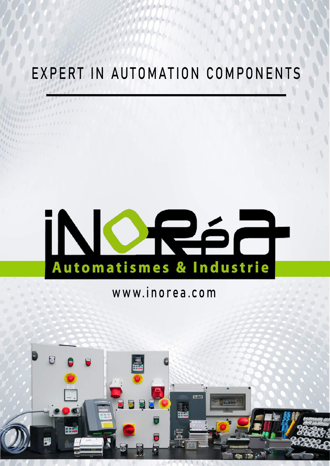## EXPERT IN AUTOMATION COMPONENTS

# iNO Pár Automatismes & Industrie

### www.inorea.com

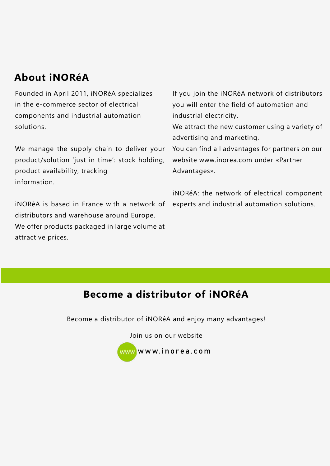### **About iNORéA**

Founded in April 2011, iNORéA specializes in the e-commerce sector of electrical components and industrial automation solutions.

We manage the supply chain to deliver your product/solution 'just in time': stock holding, product availability, tracking information.

iNORéA is based in France with a network of distributors and warehouse around Europe. We offer products packaged in large volume at attractive prices.

If you join the iNORéA network of distributors you will enter the field of automation and industrial electricity.

We attract the new customer using a variety of advertising and marketing.

You can find all advantages for partners on our website www.inorea.com under «Partner Advantages».

iNORéA: the network of electrical component experts and industrial automation solutions.

### **[Become a distributor of iNORéA](https://www.inorea.com/en/content/8-inorea-partner-advantages)**

Become a distributor of iNORéA and enjoy many advantages!

Join us on our website



[www.inorea.com](https://www.inorea.com/en/)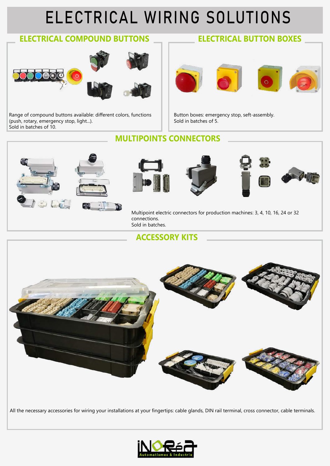## [ELECTRICAL WIRING SOLUTIONS](https://www.inorea.com/en/14--electrical-wiring-solution)

### **[ELECTRICAL COMPOUND BUTTONS](https://www.inorea.com/en/19-11-compound-buttons) [ELECTRICAL BUTTON BOXES](https://www.inorea.com/en/20-12-boxes-buttons)**



Range of compound buttons available: different colors, functions (push, rotary, emergency stop, light...). Sold in batches of 10.



Button boxes: emergency stop, seft-assembly. Sold in batches of 5.

### **[MULTIPOINTS CONNECTORS](https://www.inorea.com/en/15-13-multipoint-electric-connectors)**



### **[ACCESSORY KITS](https://www.inorea.com/en/38-14-accessories-kits)**



All the necessary accessories for wiring your installations at your fingertips: cable glands, DIN rail terminal, cross connector, cable terminals.

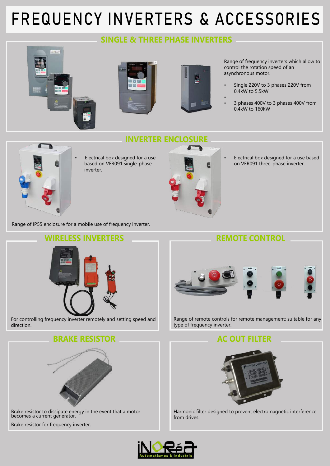## [FREQUENCY INVERTERS & ACCESSORIES](https://www.inorea.com/en/12-solution-with-frequency-inverter)

### **[SINGLE & THREE PHASE INVERTERS](https://www.inorea.com/en/13-21-single-phase-inverters)**

**[INVERTER ENCLOSURE](https://www.inorea.com/en/23-24-ip55-inverter-electrical-boxes-)**







[Ran](https://www.inorea.com/en/18-22-three-phase-inverters)ge of frequency inverters which allow to control the rotation speed of an asynchronous motor.

- Single 220V to 3 phases 220V from 0.4kW to 5.5kW
- • 3 phases 400V to 3 phases 400V from 0.4kW to 160kW



• Electrical box designed for a use [bas](https://www.inorea.com/en/24-ip55-inverter-electrical-boxes-/74-single-phase-frequency-inverter-ip55.html)ed on VFR091 single-phase inverter.



• Electrical box designed for a use based on VFR091 three-phase inverter.

Range of IP55 enclosure for a mobile use of frequency inverter.





**[BRAKE RESISTOR](https://www.inorea.com/en/26-accessories-for-frequency-inverter/53-brake-resistor.html) [AC OUT FILTER](https://www.inorea.com/en/26-accessories-for-frequency-inverter/54-ac-out-filter.html)**



Brake resistor [to dissipate energy in the event tha](https://www.inorea.com/en/26-accessories-for-frequency-inverter/53-brake-resistor.html)t a motor becomes a current generator.

Brake resistor for frequency inverter.



[Range of remote controls for remo](https://www.inorea.com/en/22-23-remote-controls)te management; suitable for any type of frequency inverter.



Harmonic filter designed to prevent electromagnetic interference from drives.

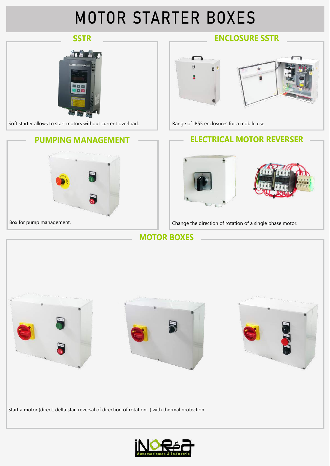## [MOTOR STARTER BOXES](https://www.inorea.com/en/24--motor-starter-solution)



**[MOTOR BOXES](https://www.inorea.com/en/25-31-motor-boxes)**



Start a motor (direct, delta star, reversal of direction of rotation...) with thermal protection.

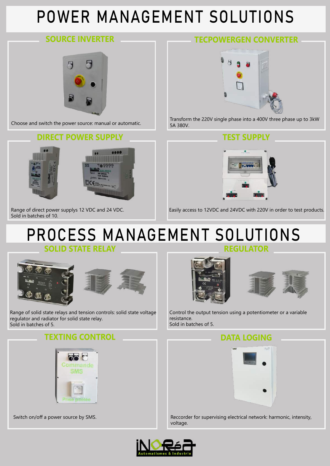## [POWER MANAGEMENT SOLUTIONS](https://www.inorea.com/en/10--power-management-solution)



### **[DIRECT POWER SUPPLY](https://www.inorea.com/en/31-42-direct-power-supply) [TEST SUPPLY](https://www.inorea.com/en/42-direct-power-supply/22-armoire-pour-alimenter-en-12vdc-et-24vdc-ref-armalm1224.html)**





### **[SOURCE INVERTER](https://www.inorea.com/en/43-change-over/55-single-phase-and-three-phase-source-inverter.html) [TECPOWERGEN CONVERTER](https://www.inorea.com/en/11-41-tecpowergen-converter)**



Choose and switch the power source: manual or automatic. Transform the 220V single phase into a 400V three phase up to 3kW 5A 380V.



Easily access to 12VDC and 24VDC with 220V in order to test products.

Range of direct power supplys 12 VDC and 24 VDC. Sold in batches of 10.

## **[PROCESS MANAGEMENT SOLUTIONS](https://www.inorea.com/en/16-process-management-solution)**

**[SOLID STATE RELAY](https://www.inorea.com/en/33-51-solid-state-relays)** 





Range of solid state relays and tension controls: solid state voltage regulator and radiator for solid state relay. Sold in batches of 5.

### **TEXTING CONTROL DATA LOGING**







Control the output tension using a potentiometer or a variable resistance. Sold in batches of 5.



Switch on/off a power source by SMS. Reccorder for supervising electrical network: harmonic, intensity, voltage.

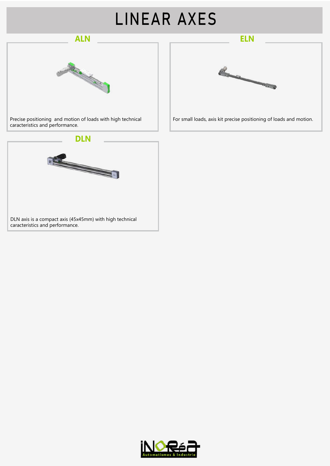## LINEAR AXES





Precise positioning and motion of loads with high technical For small loads, axis kit precise positioning of loads and motion. caracteristics and performance.